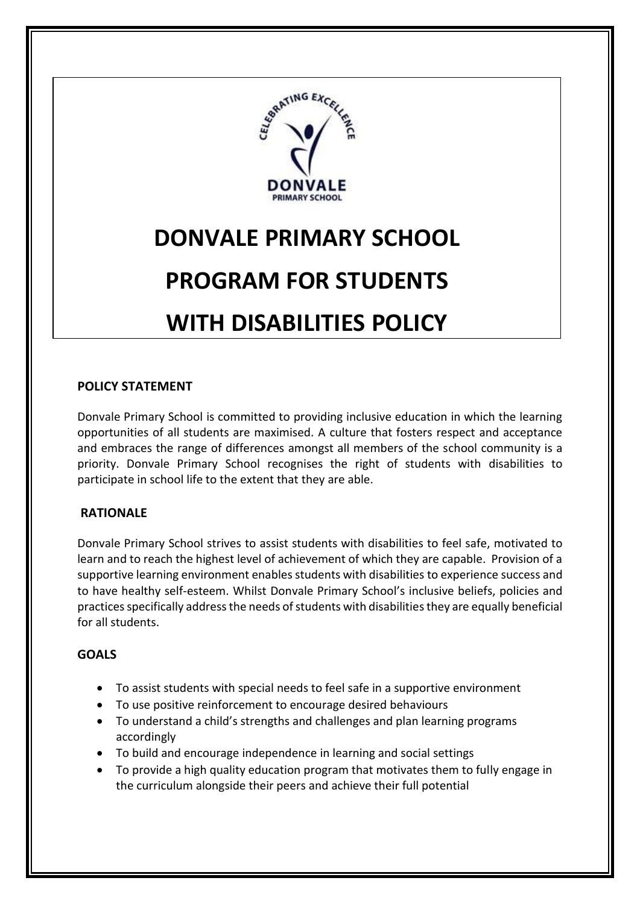

# **DONVALE PRIMARY SCHOOL PROGRAM FOR STUDENTS WITH DISABILITIES POLICY**

# **POLICY STATEMENT**

Donvale Primary School is committed to providing inclusive education in which the learning opportunities of all students are maximised. A culture that fosters respect and acceptance and embraces the range of differences amongst all members of the school community is a priority. Donvale Primary School recognises the right of students with disabilities to participate in school life to the extent that they are able.

# **RATIONALE**

Donvale Primary School strives to assist students with disabilities to feel safe, motivated to learn and to reach the highest level of achievement of which they are capable. Provision of a supportive learning environment enables students with disabilities to experience success and to have healthy self-esteem. Whilst Donvale Primary School's inclusive beliefs, policies and practices specifically address the needs of students with disabilities they are equally beneficial for all students.

# **GOALS**

- To assist students with special needs to feel safe in a supportive environment
- To use positive reinforcement to encourage desired behaviours
- To understand a child's strengths and challenges and plan learning programs accordingly
- To build and encourage independence in learning and social settings
- To provide a high quality education program that motivates them to fully engage in the curriculum alongside their peers and achieve their full potential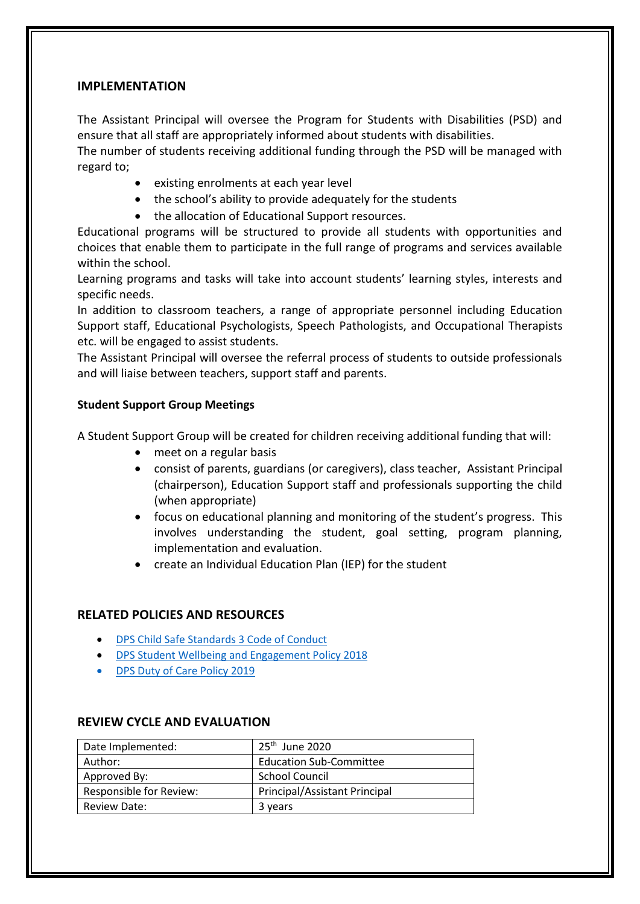#### **IMPLEMENTATION**

The Assistant Principal will oversee the Program for Students with Disabilities (PSD) and ensure that all staff are appropriately informed about students with disabilities.

The number of students receiving additional funding through the PSD will be managed with regard to;

- existing enrolments at each year level
- the school's ability to provide adequately for the students
- the allocation of Educational Support resources.

Educational programs will be structured to provide all students with opportunities and choices that enable them to participate in the full range of programs and services available within the school.

Learning programs and tasks will take into account students' learning styles, interests and specific needs.

In addition to classroom teachers, a range of appropriate personnel including Education Support staff, Educational Psychologists, Speech Pathologists, and Occupational Therapists etc. will be engaged to assist students.

The Assistant Principal will oversee the referral process of students to outside professionals and will liaise between teachers, support staff and parents.

## **Student Support Group Meetings**

A Student Support Group will be created for children receiving additional funding that will:

- meet on a regular basis
- consist of parents, guardians (or caregivers), class teacher, Assistant Principal (chairperson), Education Support staff and professionals supporting the child (when appropriate)
- focus on educational planning and monitoring of the student's progress. This involves understanding the student, goal setting, program planning, implementation and evaluation.
- create an Individual Education Plan (IEP) for the student

## **RELATED POLICIES AND RESOURCES**

- [DPS Child Safe Standards 3 Code of Conduct](http://donvaleps.vic.edu.au/wp-content/uploads/2011/03/DPS-Child-Safe-Standards-3-Code-of-Conduct.pdf)
- [DPS Student Wellbeing and Engagement Policy 2018](http://donvaleps.vic.edu.au/wp-content/uploads/2011/03/DPS-Student-Wellbeing-and-Engagement-Policy-2018.pdf)
- [DPS Duty of Care Policy 2019](http://donvaleps.vic.edu.au/wp-content/uploads/2011/03/DPS-Duty-of-Care-Policy-2019.pdf)

| Date Implemented:       | $25th$ June 2020               |
|-------------------------|--------------------------------|
| Author:                 | <b>Education Sub-Committee</b> |
| Approved By:            | <b>School Council</b>          |
| Responsible for Review: | Principal/Assistant Principal  |
| <b>Review Date:</b>     | 3 years                        |

# **REVIEW CYCLE AND EVALUATION**